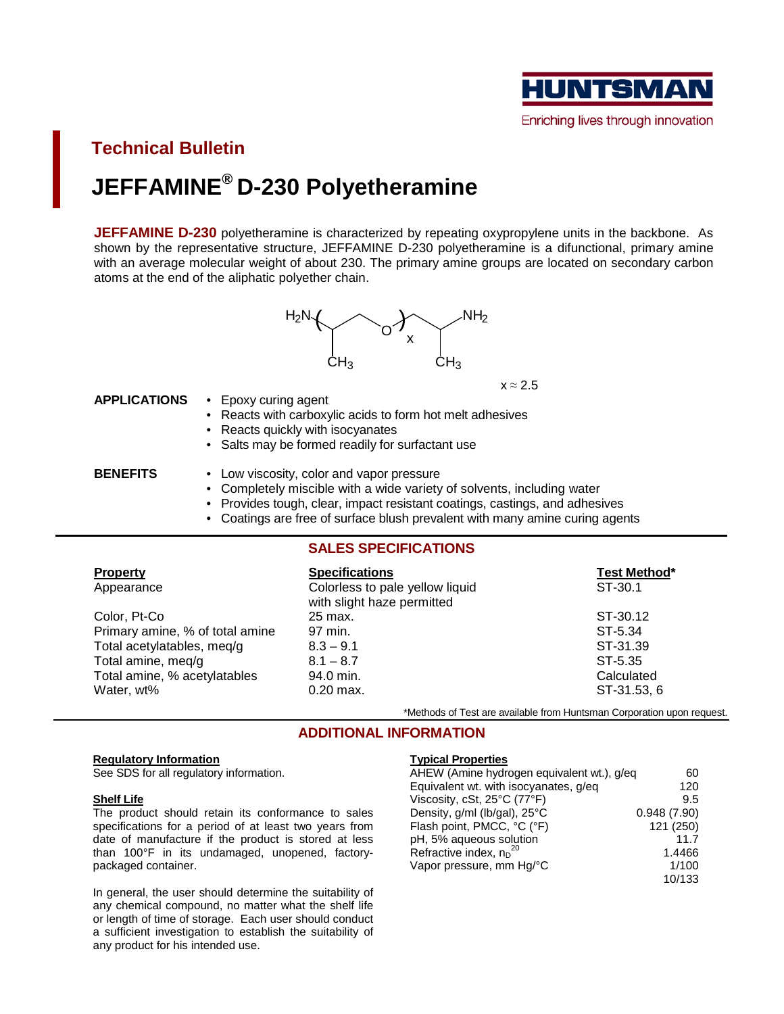

**Technical Bulletin JEFFAMINE® D-230 Polyetheramine**

**JEFFAMINE D-230** polyetheramine is characterized by repeating oxypropylene units in the backbone. As shown by the representative structure, JEFFAMINE D-230 polyetheramine is a difunctional, primary amine with an average molecular weight of about 230. The primary amine groups are located on secondary carbon atoms at the end of the aliphatic polyether chain.



 $x \approx 2.5$ 

#### **APPLICATIONS** • Epoxy curing agent

- Reacts with carboxylic acids to form hot melt adhesives
- Reacts quickly with isocyanates
- Salts may be formed readily for surfactant use

- **BENEFITS** Low viscosity, color and vapor pressure
	- Completely miscible with a wide variety of solvents, including water
	- Provides tough, clear, impact resistant coatings, castings, and adhesives
	- Coatings are free of surface blush prevalent with many amine curing agents

# **SALES SPECIFICATIONS**

| <b>Property</b>                 | <b>Specifications</b>                                         | Test Method* |
|---------------------------------|---------------------------------------------------------------|--------------|
| Appearance                      | Colorless to pale yellow liquid<br>with slight haze permitted | ST-30.1      |
| Color, Pt-Co                    | 25 max.                                                       | ST-30.12     |
| Primary amine, % of total amine | 97 min.                                                       | ST-5.34      |
| Total acetylatables, meg/g      | $8.3 - 9.1$                                                   | ST-31.39     |
| Total amine, meq/g              | $8.1 - 8.7$                                                   | ST-5.35      |
| Total amine, % acetylatables    | 94.0 min.                                                     | Calculated   |
| Water, wt%                      | $0.20$ max.                                                   | ST-31.53, 6  |

\*Methods of Test are available from Huntsman Corporation upon request.

## **ADDITIONAL INFORMATION**

#### **Regulatory Information**

See SDS for all regulatory information.

#### **Shelf Life**

The product should retain its conformance to sales specifications for a period of at least two years from date of manufacture if the product is stored at less than 100°F in its undamaged, unopened, factorypackaged container.

In general, the user should determine the suitability of any chemical compound, no matter what the shelf life or length of time of storage. Each user should conduct a sufficient investigation to establish the suitability of any product for his intended use.

#### **Typical Properties**

| AHEW (Amine hydrogen equivalent wt.), g/eq | 60          |
|--------------------------------------------|-------------|
| Equivalent wt. with isocyanates, g/eq      | 120         |
| Viscosity, cSt, 25°C (77°F)                | 9.5         |
| Density, g/ml (lb/gal), 25°C               | 0.948(7.90) |
| Flash point, PMCC, °C (°F)                 | 121 (250)   |
| pH, 5% aqueous solution                    | 11.7        |
| Refractive index, $n_D^{20}$               | 1.4466      |
| Vapor pressure, mm Hq/°C                   | 1/100       |
|                                            | 10/133      |